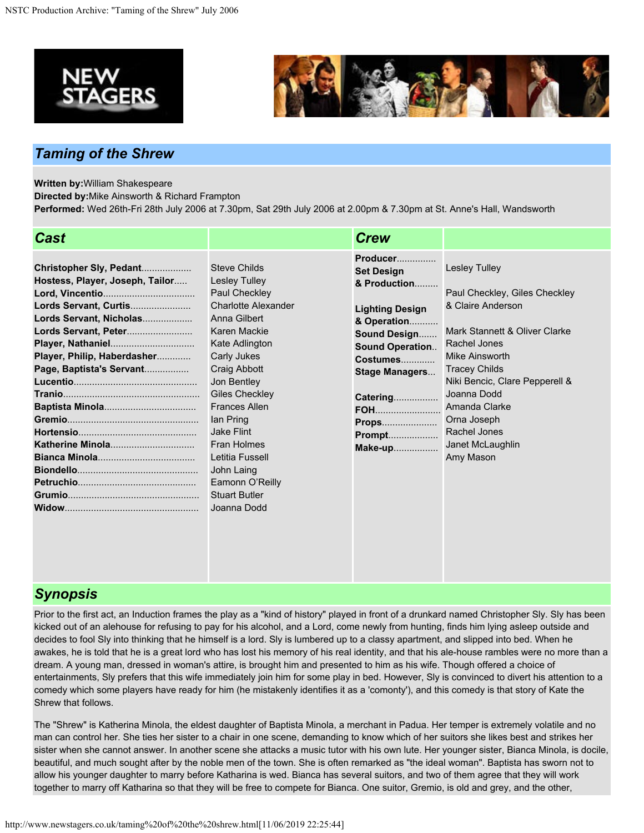



# *Taming of the Shrew*

**Written by:**William Shakespeare

**Directed by:**Mike Ainsworth & Richard Frampton

**Performed:** Wed 26th-Fri 28th July 2006 at 7.30pm, Sat 29th July 2006 at 2.00pm & 7.30pm at St. Anne's Hall, Wandsworth

| <b>Cast</b>                                                                                                                                                                                       |                                                                                                                                                                                                                                                                                                                                                                                  | <b>Crew</b>                                                                                                                                                                                                                                        |                                                                                                                                                                                                                                                                                                         |
|---------------------------------------------------------------------------------------------------------------------------------------------------------------------------------------------------|----------------------------------------------------------------------------------------------------------------------------------------------------------------------------------------------------------------------------------------------------------------------------------------------------------------------------------------------------------------------------------|----------------------------------------------------------------------------------------------------------------------------------------------------------------------------------------------------------------------------------------------------|---------------------------------------------------------------------------------------------------------------------------------------------------------------------------------------------------------------------------------------------------------------------------------------------------------|
| Christopher Sly, Pedant<br>Hostess, Player, Joseph, Tailor<br>Lords Servant, Curtis<br>Lords Servant, Nicholas<br>Lords Servant, Peter<br>Player, Philip, Haberdasher<br>Page, Baptista's Servant | <b>Steve Childs</b><br>Lesley Tulley<br>Paul Checkley<br><b>Charlotte Alexander</b><br>Anna Gilbert<br>Karen Mackie<br>Kate Adlington<br>Carly Jukes<br>Craig Abbott<br>Jon Bentley<br>Giles Checkley<br><b>Frances Allen</b><br>lan Pring<br><b>Jake Flint</b><br><b>Fran Holmes</b><br>Letitia Fussell<br>John Laing<br>Eamonn O'Reilly<br><b>Stuart Butler</b><br>Joanna Dodd | Producer<br><b>Set Design</b><br>& Production<br><b>Lighting Design</b><br>& Operation<br>Sound Design<br><b>Sound Operation</b><br>Costumes<br><b>Stage Managers</b><br><b>Catering</b><br><b>FOH</b><br><b>Props</b><br><b>Prompt</b><br>Make-up | <b>Lesley Tulley</b><br>Paul Checkley, Giles Checkley<br>& Claire Anderson<br>Mark Stannett & Oliver Clarke<br>Rachel Jones<br>Mike Ainsworth<br><b>Tracey Childs</b><br>Niki Bencic, Clare Pepperell &<br>Joanna Dodd<br>Amanda Clarke<br>Orna Joseph<br>Rachel Jones<br>Janet McLaughlin<br>Amy Mason |

## *Synopsis*

Prior to the first act, an Induction frames the play as a "kind of history" played in front of a drunkard named Christopher Sly. Sly has been kicked out of an alehouse for refusing to pay for his alcohol, and a Lord, come newly from hunting, finds him lying asleep outside and decides to fool Sly into thinking that he himself is a lord. Sly is lumbered up to a classy apartment, and slipped into bed. When he awakes, he is told that he is a great lord who has lost his memory of his real identity, and that his ale-house rambles were no more than a dream. A young man, dressed in woman's attire, is brought him and presented to him as his wife. Though offered a choice of entertainments, Sly prefers that this wife immediately join him for some play in bed. However, Sly is convinced to divert his attention to a comedy which some players have ready for him (he mistakenly identifies it as a 'comonty'), and this comedy is that story of Kate the Shrew that follows.

The "Shrew" is Katherina Minola, the eldest daughter of Baptista Minola, a merchant in Padua. Her temper is extremely volatile and no man can control her. She ties her sister to a chair in one scene, demanding to know which of her suitors she likes best and strikes her sister when she cannot answer. In another scene she attacks a music tutor with his own lute. Her younger sister, Bianca Minola, is docile, beautiful, and much sought after by the noble men of the town. She is often remarked as "the ideal woman". Baptista has sworn not to allow his younger daughter to marry before Katharina is wed. Bianca has several suitors, and two of them agree that they will work together to marry off Katharina so that they will be free to compete for Bianca. One suitor, Gremio, is old and grey, and the other,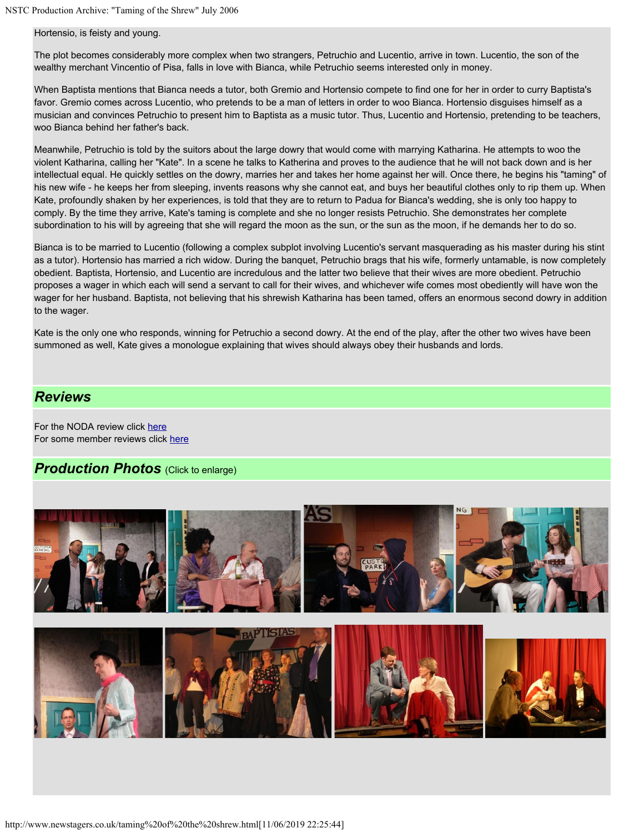#### Hortensio, is feisty and young.

The plot becomes considerably more complex when two strangers, Petruchio and Lucentio, arrive in town. Lucentio, the son of the wealthy merchant Vincentio of Pisa, falls in love with Bianca, while Petruchio seems interested only in money.

When Baptista mentions that Bianca needs a tutor, both Gremio and Hortensio compete to find one for her in order to curry Baptista's favor. Gremio comes across Lucentio, who pretends to be a man of letters in order to woo Bianca. Hortensio disguises himself as a musician and convinces Petruchio to present him to Baptista as a music tutor. Thus, Lucentio and Hortensio, pretending to be teachers, woo Bianca behind her father's back.

Meanwhile, Petruchio is told by the suitors about the large dowry that would come with marrying Katharina. He attempts to woo the violent Katharina, calling her "Kate". In a scene he talks to Katherina and proves to the audience that he will not back down and is her intellectual equal. He quickly settles on the dowry, marries her and takes her home against her will. Once there, he begins his "taming" of his new wife - he keeps her from sleeping, invents reasons why she cannot eat, and buys her beautiful clothes only to rip them up. When Kate, profoundly shaken by her experiences, is told that they are to return to Padua for Bianca's wedding, she is only too happy to comply. By the time they arrive, Kate's taming is complete and she no longer resists Petruchio. She demonstrates her complete subordination to his will by agreeing that she will regard the moon as the sun, or the sun as the moon, if he demands her to do so.

Bianca is to be married to Lucentio (following a complex subplot involving Lucentio's servant masquerading as his master during his stint as a tutor). Hortensio has married a rich widow. During the banquet, Petruchio brags that his wife, formerly untamable, is now completely obedient. Baptista, Hortensio, and Lucentio are incredulous and the latter two believe that their wives are more obedient. Petruchio proposes a wager in which each will send a servant to call for their wives, and whichever wife comes most obediently will have won the wager for her husband. Baptista, not believing that his shrewish Katharina has been tamed, offers an enormous second dowry in addition to the wager.

Kate is the only one who responds, winning for Petruchio a second dowry. At the end of the play, after the other two wives have been summoned as well, Kate gives a monologue explaining that wives should always obey their husbands and lords.

### *Reviews*

For the NODA review click [here](http://www.newstagers.co.uk/tamingnodareview.htm) For some member reviews click [here](http://www.newstagers.co.uk/tamingmemberreviews.htm)

### *Production Photos (Click to enlarge)*